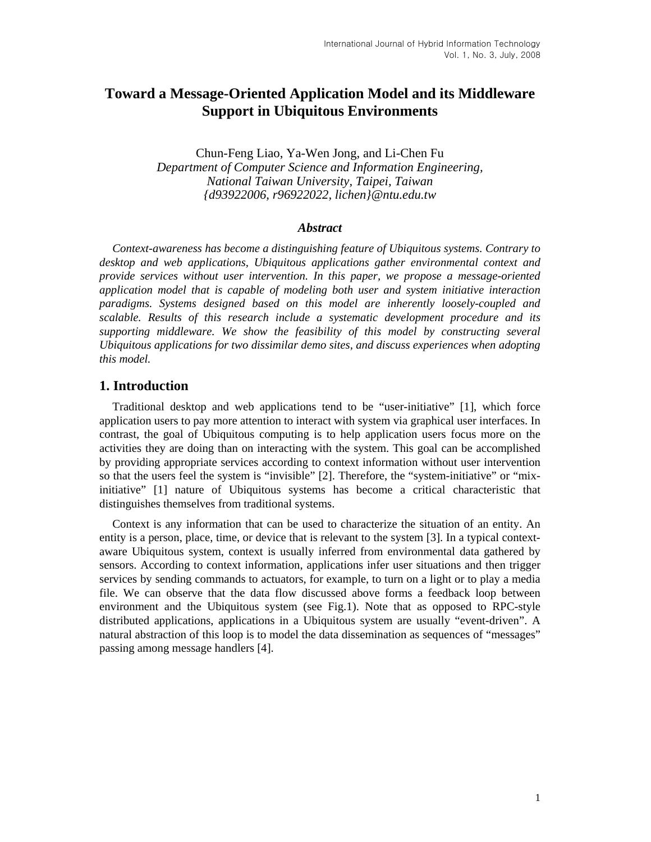# **Toward a Message-Oriented Application Model and its Middleware Support in Ubiquitous Environments**

Chun-Feng Liao, Ya-Wen Jong, and Li-Chen Fu *Department of Computer Science and Information Engineering, National Taiwan University, Taipei, Taiwan {d93922006, r96922022, lichen}@ntu.edu.tw* 

#### *Abstract*

*Context-awareness has become a distinguishing feature of Ubiquitous systems. Contrary to desktop and web applications, Ubiquitous applications gather environmental context and provide services without user intervention. In this paper, we propose a message-oriented application model that is capable of modeling both user and system initiative interaction paradigms. Systems designed based on this model are inherently loosely-coupled and scalable. Results of this research include a systematic development procedure and its*  supporting middleware. We show the feasibility of this model by constructing several *Ubiquitous applications for two dissimilar demo sites, and discuss experiences when adopting this model.* 

#### **1. Introduction**

Traditional desktop and web applications tend to be "user-initiative" [1], which force application users to pay more attention to interact with system via graphical user interfaces. In contrast, the goal of Ubiquitous computing is to help application users focus more on the activities they are doing than on interacting with the system. This goal can be accomplished by providing appropriate services according to context information without user intervention so that the users feel the system is "invisible" [2]. Therefore, the "system-initiative" or "mixinitiative" [1] nature of Ubiquitous systems has become a critical characteristic that distinguishes themselves from traditional systems.

Context is any information that can be used to characterize the situation of an entity. An entity is a person, place, time, or device that is relevant to the system [3]. In a typical contextaware Ubiquitous system, context is usually inferred from environmental data gathered by sensors. According to context information, applications infer user situations and then trigger services by sending commands to actuators, for example, to turn on a light or to play a media file. We can observe that the data flow discussed above forms a feedback loop between environment and the Ubiquitous system (see Fig.1). Note that as opposed to RPC-style distributed applications, applications in a Ubiquitous system are usually "event-driven". A natural abstraction of this loop is to model the data dissemination as sequences of "messages" passing among message handlers [4].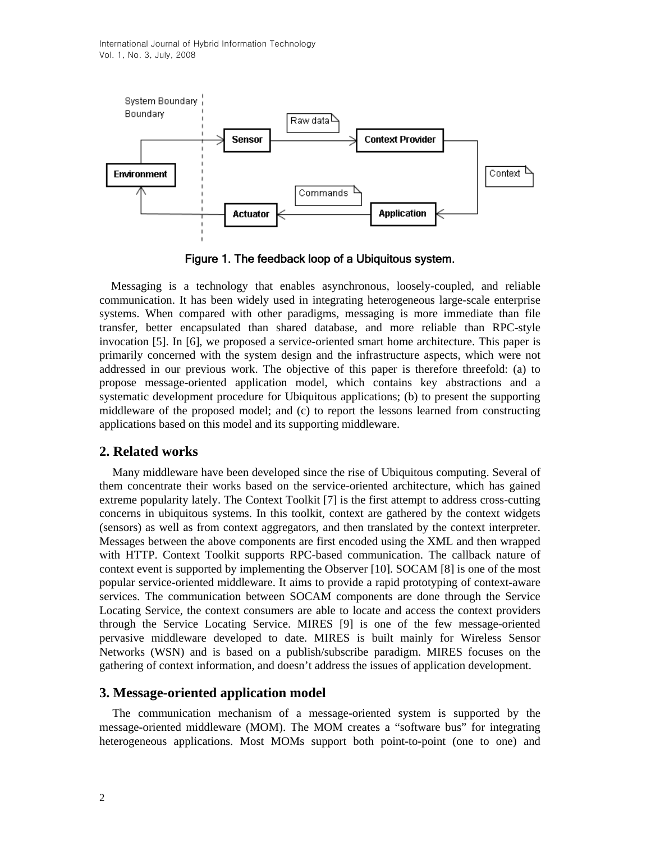

Figure 1. The feedback loop of a Ubiquitous system.

Messaging is a technology that enables asynchronous, loosely-coupled, and reliable communication. It has been widely used in integrating heterogeneous large-scale enterprise systems. When compared with other paradigms, messaging is more immediate than file transfer, better encapsulated than shared database, and more reliable than RPC-style invocation [5]. In [6], we proposed a service-oriented smart home architecture. This paper is primarily concerned with the system design and the infrastructure aspects, which were not addressed in our previous work. The objective of this paper is therefore threefold: (a) to propose message-oriented application model, which contains key abstractions and a systematic development procedure for Ubiquitous applications; (b) to present the supporting middleware of the proposed model; and (c) to report the lessons learned from constructing applications based on this model and its supporting middleware.

## **2. Related works**

Many middleware have been developed since the rise of Ubiquitous computing. Several of them concentrate their works based on the service-oriented architecture, which has gained extreme popularity lately. The Context Toolkit [7] is the first attempt to address cross-cutting concerns in ubiquitous systems. In this toolkit, context are gathered by the context widgets (sensors) as well as from context aggregators, and then translated by the context interpreter. Messages between the above components are first encoded using the XML and then wrapped with HTTP. Context Toolkit supports RPC-based communication. The callback nature of context event is supported by implementing the Observer [10]. SOCAM [8] is one of the most popular service-oriented middleware. It aims to provide a rapid prototyping of context-aware services. The communication between SOCAM components are done through the Service Locating Service, the context consumers are able to locate and access the context providers through the Service Locating Service. MIRES [9] is one of the few message-oriented pervasive middleware developed to date. MIRES is built mainly for Wireless Sensor Networks (WSN) and is based on a publish/subscribe paradigm. MIRES focuses on the gathering of context information, and doesn't address the issues of application development.

## **3. Message-oriented application model**

The communication mechanism of a message-oriented system is supported by the message-oriented middleware (MOM). The MOM creates a "software bus" for integrating heterogeneous applications. Most MOMs support both point-to-point (one to one) and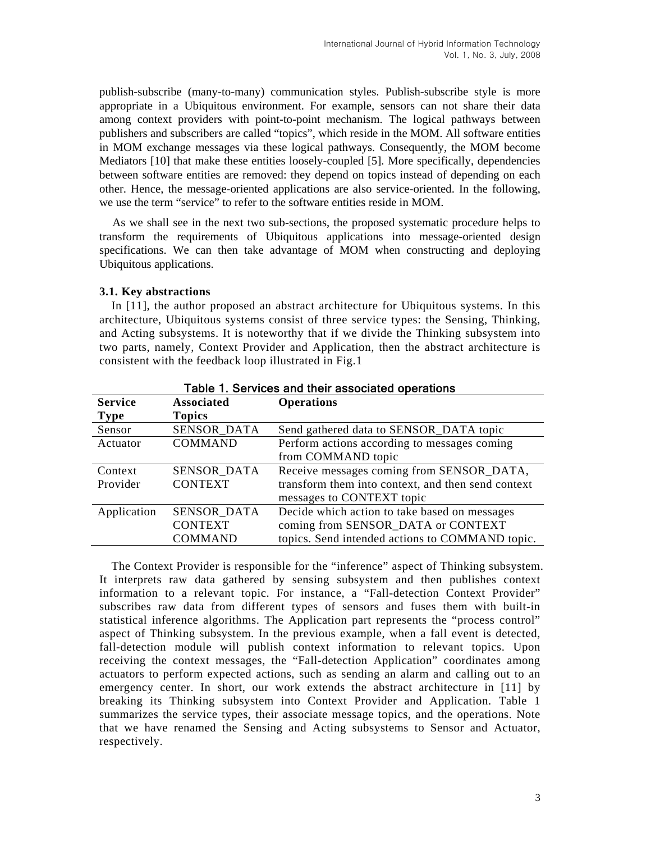publish-subscribe (many-to-many) communication styles. Publish-subscribe style is more appropriate in a Ubiquitous environment. For example, sensors can not share their data among context providers with point-to-point mechanism. The logical pathways between publishers and subscribers are called "topics", which reside in the MOM. All software entities in MOM exchange messages via these logical pathways. Consequently, the MOM become Mediators [10] that make these entities loosely-coupled [5]. More specifically, dependencies between software entities are removed: they depend on topics instead of depending on each other. Hence, the message-oriented applications are also service-oriented. In the following, we use the term "service" to refer to the software entities reside in MOM.

As we shall see in the next two sub-sections, the proposed systematic procedure helps to transform the requirements of Ubiquitous applications into message-oriented design specifications. We can then take advantage of MOM when constructing and deploying Ubiquitous applications.

#### **3.1. Key abstractions**

In [11], the author proposed an abstract architecture for Ubiquitous systems. In this architecture, Ubiquitous systems consist of three service types: the Sensing, Thinking, and Acting subsystems. It is noteworthy that if we divide the Thinking subsystem into two parts, namely, Context Provider and Application, then the abstract architecture is consistent with the feedback loop illustrated in Fig.1

| <b>Service</b> | <b>Associated</b>  | <b>Operations</b>                                  |
|----------------|--------------------|----------------------------------------------------|
| <b>Type</b>    | <b>Topics</b>      |                                                    |
| Sensor         | SENSOR_DATA        | Send gathered data to SENSOR_DATA topic            |
| Actuator       | <b>COMMAND</b>     | Perform actions according to messages coming       |
|                |                    | from COMMAND topic                                 |
| Context        | <b>SENSOR DATA</b> | Receive messages coming from SENSOR_DATA,          |
| Provider       | <b>CONTEXT</b>     | transform them into context, and then send context |
|                |                    | messages to CONTEXT topic                          |
| Application    | SENSOR_DATA        | Decide which action to take based on messages      |
|                | <b>CONTEXT</b>     | coming from SENSOR_DATA or CONTEXT                 |
|                | <b>COMMAND</b>     | topics. Send intended actions to COMMAND topic.    |

Table 1. Services and their associated operations

The Context Provider is responsible for the "inference" aspect of Thinking subsystem. It interprets raw data gathered by sensing subsystem and then publishes context information to a relevant topic. For instance, a "Fall-detection Context Provider" subscribes raw data from different types of sensors and fuses them with built-in statistical inference algorithms. The Application part represents the "process control" aspect of Thinking subsystem. In the previous example, when a fall event is detected, fall-detection module will publish context information to relevant topics. Upon receiving the context messages, the "Fall-detection Application" coordinates among actuators to perform expected actions, such as sending an alarm and calling out to an emergency center. In short, our work extends the abstract architecture in [11] by breaking its Thinking subsystem into Context Provider and Application. Table 1 summarizes the service types, their associate message topics, and the operations. Note that we have renamed the Sensing and Acting subsystems to Sensor and Actuator, respectively.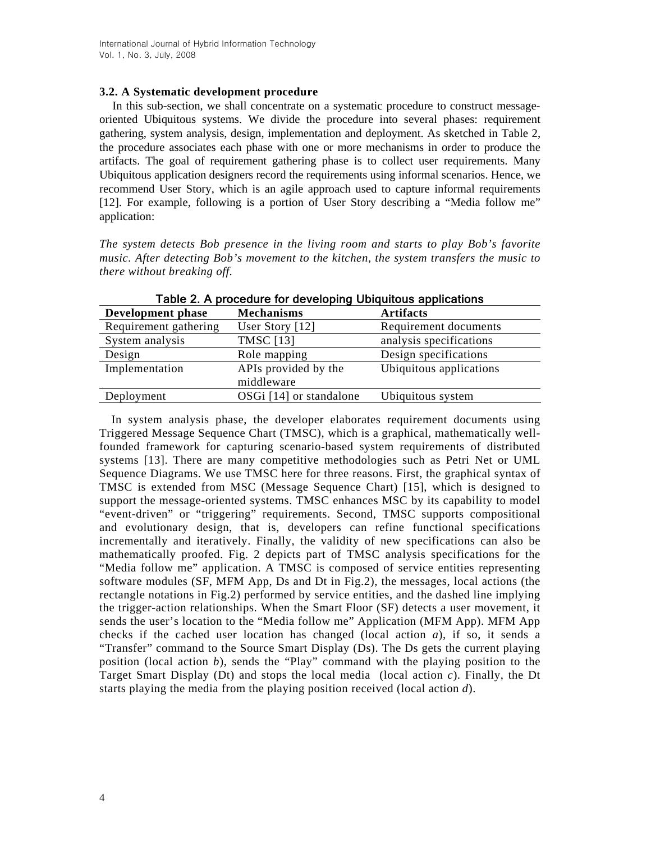#### **3.2. A Systematic development procedure**

In this sub-section, we shall concentrate on a systematic procedure to construct messageoriented Ubiquitous systems. We divide the procedure into several phases: requirement gathering, system analysis, design, implementation and deployment. As sketched in Table 2, the procedure associates each phase with one or more mechanisms in order to produce the artifacts. The goal of requirement gathering phase is to collect user requirements. Many Ubiquitous application designers record the requirements using informal scenarios. Hence, we recommend User Story, which is an agile approach used to capture informal requirements [12]. For example, following is a portion of User Story describing a "Media follow me" application:

*The system detects Bob presence in the living room and starts to play Bob's favorite music. After detecting Bob's movement to the kitchen, the system transfers the music to there without breaking off.*

| Development phase     | <b>Mechanisms</b>       | <b>Artifacts</b>        |
|-----------------------|-------------------------|-------------------------|
| Requirement gathering | User Story [12]         | Requirement documents   |
| System analysis       | <b>TMSC</b> [13]        | analysis specifications |
| Design                | Role mapping            | Design specifications   |
| Implementation        | APIs provided by the    | Ubiquitous applications |
|                       | middleware              |                         |
| Deployment            | OSGi [14] or standalone | Ubiquitous system       |

Table 2. A procedure for developing Ubiquitous applications

In system analysis phase, the developer elaborates requirement documents using Triggered Message Sequence Chart (TMSC), which is a graphical, mathematically wellfounded framework for capturing scenario-based system requirements of distributed systems [13]. There are many competitive methodologies such as Petri Net or UML Sequence Diagrams. We use TMSC here for three reasons. First, the graphical syntax of TMSC is extended from MSC (Message Sequence Chart) [15], which is designed to support the message-oriented systems. TMSC enhances MSC by its capability to model "event-driven" or "triggering" requirements. Second, TMSC supports compositional and evolutionary design, that is, developers can refine functional specifications incrementally and iteratively. Finally, the validity of new specifications can also be mathematically proofed. Fig. 2 depicts part of TMSC analysis specifications for the "Media follow me" application. A TMSC is composed of service entities representing software modules (SF, MFM App, Ds and Dt in Fig.2), the messages, local actions (the rectangle notations in Fig.2) performed by service entities, and the dashed line implying the trigger-action relationships. When the Smart Floor (SF) detects a user movement, it sends the user's location to the "Media follow me" Application (MFM App). MFM App checks if the cached user location has changed (local action *a*), if so, it sends a "Transfer" command to the Source Smart Display (Ds). The Ds gets the current playing position (local action *b*), sends the "Play" command with the playing position to the Target Smart Display (Dt) and stops the local media (local action *c*). Finally, the Dt starts playing the media from the playing position received (local action *d*).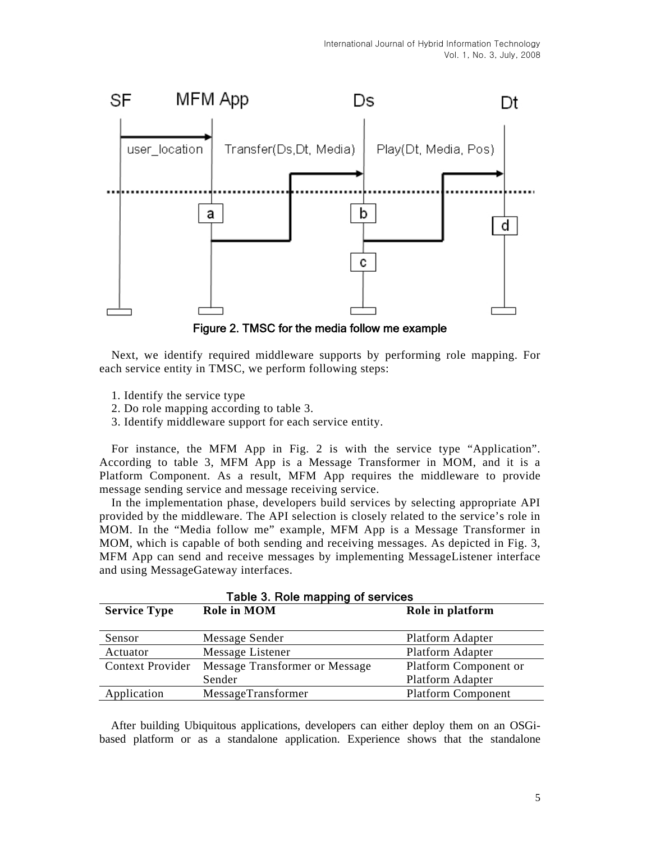

Figure 2. TMSC for the media follow me example

Next, we identify required middleware supports by performing role mapping. For each service entity in TMSC, we perform following steps:

- 1. Identify the service type
- 2. Do role mapping according to table 3.
- 3. Identify middleware support for each service entity.

For instance, the MFM App in Fig. 2 is with the service type "Application". According to table 3, MFM App is a Message Transformer in MOM, and it is a Platform Component. As a result, MFM App requires the middleware to provide message sending service and message receiving service.

In the implementation phase, developers build services by selecting appropriate API provided by the middleware. The API selection is closely related to the service's role in MOM. In the "Media follow me" example, MFM App is a Message Transformer in MOM, which is capable of both sending and receiving messages. As depicted in Fig. 3, MFM App can send and receive messages by implementing MessageListener interface and using MessageGateway interfaces.

| Table 3. Role mapping of services |                                |                           |  |
|-----------------------------------|--------------------------------|---------------------------|--|
| <b>Service Type</b>               | <b>Role in MOM</b>             | Role in platform          |  |
|                                   |                                |                           |  |
| Sensor                            | Message Sender                 | Platform Adapter          |  |
| Actuator                          | Message Listener               | Platform Adapter          |  |
| <b>Context Provider</b>           | Message Transformer or Message | Platform Component or     |  |
|                                   | Sender                         | Platform Adapter          |  |
| Application                       | MessageTransformer             | <b>Platform Component</b> |  |

After building Ubiquitous applications, developers can either deploy them on an OSGibased platform or as a standalone application. Experience shows that the standalone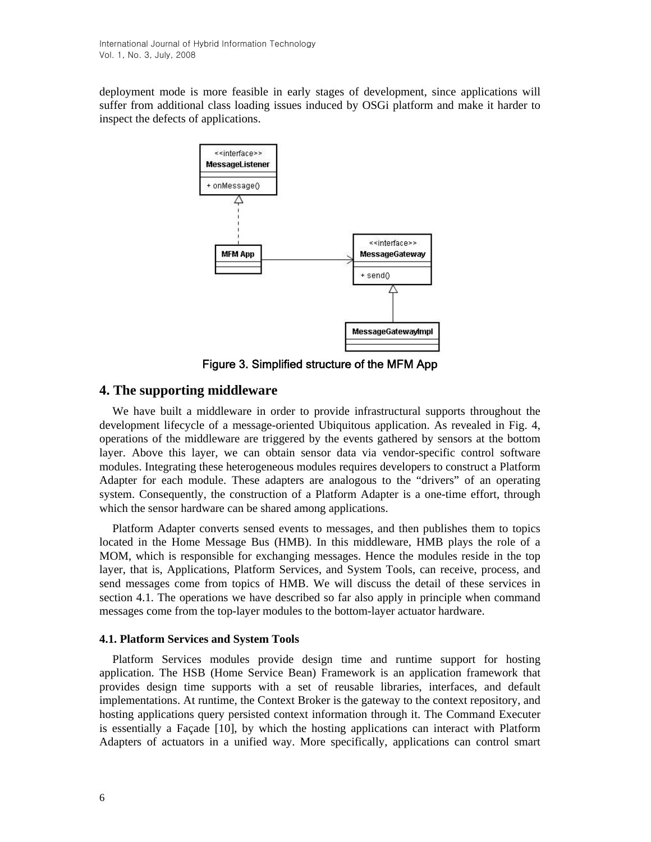deployment mode is more feasible in early stages of development, since applications will suffer from additional class loading issues induced by OSGi platform and make it harder to inspect the defects of applications.



Figure 3. Simplified structure of the MFM App

## **4. The supporting middleware**

We have built a middleware in order to provide infrastructural supports throughout the development lifecycle of a message-oriented Ubiquitous application. As revealed in Fig. 4, operations of the middleware are triggered by the events gathered by sensors at the bottom layer. Above this layer, we can obtain sensor data via vendor-specific control software modules. Integrating these heterogeneous modules requires developers to construct a Platform Adapter for each module. These adapters are analogous to the "drivers" of an operating system. Consequently, the construction of a Platform Adapter is a one-time effort, through which the sensor hardware can be shared among applications.

Platform Adapter converts sensed events to messages, and then publishes them to topics located in the Home Message Bus (HMB). In this middleware, HMB plays the role of a MOM, which is responsible for exchanging messages. Hence the modules reside in the top layer, that is, Applications, Platform Services, and System Tools, can receive, process, and send messages come from topics of HMB. We will discuss the detail of these services in section 4.1. The operations we have described so far also apply in principle when command messages come from the top-layer modules to the bottom-layer actuator hardware.

#### **4.1. Platform Services and System Tools**

Platform Services modules provide design time and runtime support for hosting application. The HSB (Home Service Bean) Framework is an application framework that provides design time supports with a set of reusable libraries, interfaces, and default implementations. At runtime, the Context Broker is the gateway to the context repository, and hosting applications query persisted context information through it. The Command Executer is essentially a Façade [10], by which the hosting applications can interact with Platform Adapters of actuators in a unified way. More specifically, applications can control smart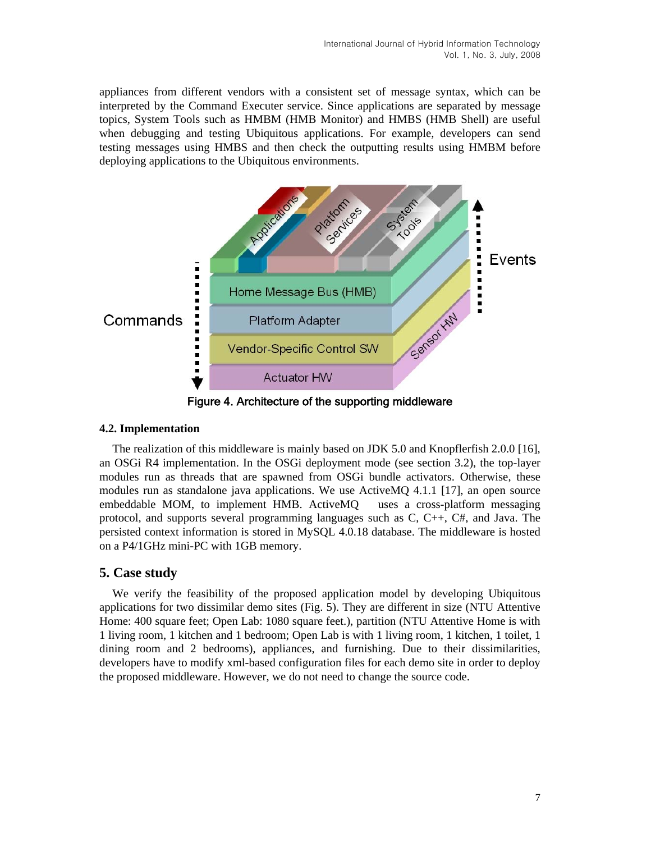appliances from different vendors with a consistent set of message syntax, which can be interpreted by the Command Executer service. Since applications are separated by message topics, System Tools such as HMBM (HMB Monitor) and HMBS (HMB Shell) are useful when debugging and testing Ubiquitous applications. For example, developers can send testing messages using HMBS and then check the outputting results using HMBM before deploying applications to the Ubiquitous environments.



Figure 4. Architecture of the supporting middleware

#### **4.2. Implementation**

The realization of this middleware is mainly based on JDK 5.0 and Knopflerfish 2.0.0 [16], an OSGi R4 implementation. In the OSGi deployment mode (see section 3.2), the top-layer modules run as threads that are spawned from OSGi bundle activators. Otherwise, these modules run as standalone java applications. We use ActiveMQ 4.1.1 [17], an open source embeddable MOM, to implement HMB. ActiveMQ uses a cross-platform messaging protocol, and supports several programming languages such as C, C++, C#, and Java. The persisted context information is stored in MySQL 4.0.18 database. The middleware is hosted on a P4/1GHz mini-PC with 1GB memory.

## **5. Case study**

We verify the feasibility of the proposed application model by developing Ubiquitous applications for two dissimilar demo sites (Fig. 5). They are different in size (NTU Attentive Home: 400 square feet; Open Lab: 1080 square feet.), partition (NTU Attentive Home is with 1 living room, 1 kitchen and 1 bedroom; Open Lab is with 1 living room, 1 kitchen, 1 toilet, 1 dining room and 2 bedrooms), appliances, and furnishing. Due to their dissimilarities, developers have to modify xml-based configuration files for each demo site in order to deploy the proposed middleware. However, we do not need to change the source code.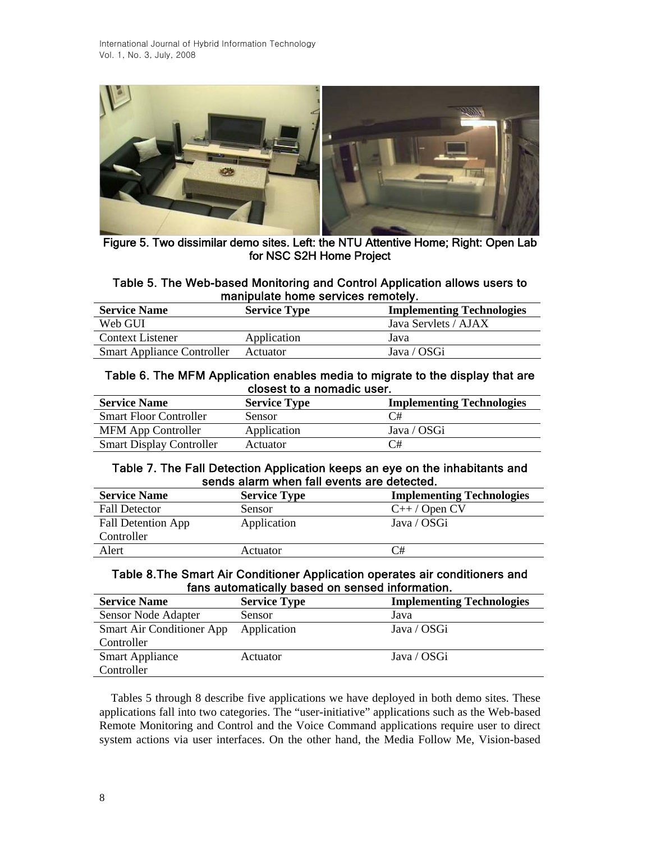

Figure 5. Two dissimilar demo sites. Left: the NTU Attentive Home; Right: Open Lab for NSC S2H Home Project

#### Table 5. The Web-based Monitoring and Control Application allows users to manipulate home services remotely.

| <b>Service Name</b>               | <b>Service Type</b> | <b>Implementing Technologies</b> |
|-----------------------------------|---------------------|----------------------------------|
| Web GUI                           |                     | Java Servlets / AJAX             |
| Context Listener                  | Application         | Java                             |
| <b>Smart Appliance Controller</b> | Actuator            | Java / OSGi                      |

### Table 6. The MFM Application enables media to migrate to the display that are closest to a nomadic user.

| <b>Service Name</b>             | <b>Service Type</b> | <b>Implementing Technologies</b> |
|---------------------------------|---------------------|----------------------------------|
| <b>Smart Floor Controller</b>   | <b>Sensor</b>       | C#                               |
| <b>MFM App Controller</b>       | Application         | Java / OSGi                      |
| <b>Smart Display Controller</b> | Actuator            | C#                               |

### Table 7. The Fall Detection Application keeps an eye on the inhabitants and sends alarm when fall events are detected.

| <b>Service Name</b>       | <b>Service Type</b> | <b>Implementing Technologies</b> |
|---------------------------|---------------------|----------------------------------|
| <b>Fall Detector</b>      | Sensor              | $C++/$ Open CV                   |
| <b>Fall Detention App</b> | Application         | Java / OSGi                      |
| Controller                |                     |                                  |
| Alert                     | Actuator            | C#                               |

### Table 8.The Smart Air Conditioner Application operates air conditioners and fans automatically based on sensed information.

| <b>Service Name</b>       | <b>Service Type</b> | <b>Implementing Technologies</b> |
|---------------------------|---------------------|----------------------------------|
| Sensor Node Adapter       | Sensor              | Java                             |
| Smart Air Conditioner App | Application         | Java / OSGi                      |
| Controller                |                     |                                  |
| <b>Smart Appliance</b>    | Actuator            | Java / OSGi                      |
| Controller                |                     |                                  |

Tables 5 through 8 describe five applications we have deployed in both demo sites. These applications fall into two categories. The "user-initiative" applications such as the Web-based Remote Monitoring and Control and the Voice Command applications require user to direct system actions via user interfaces. On the other hand, the Media Follow Me, Vision-based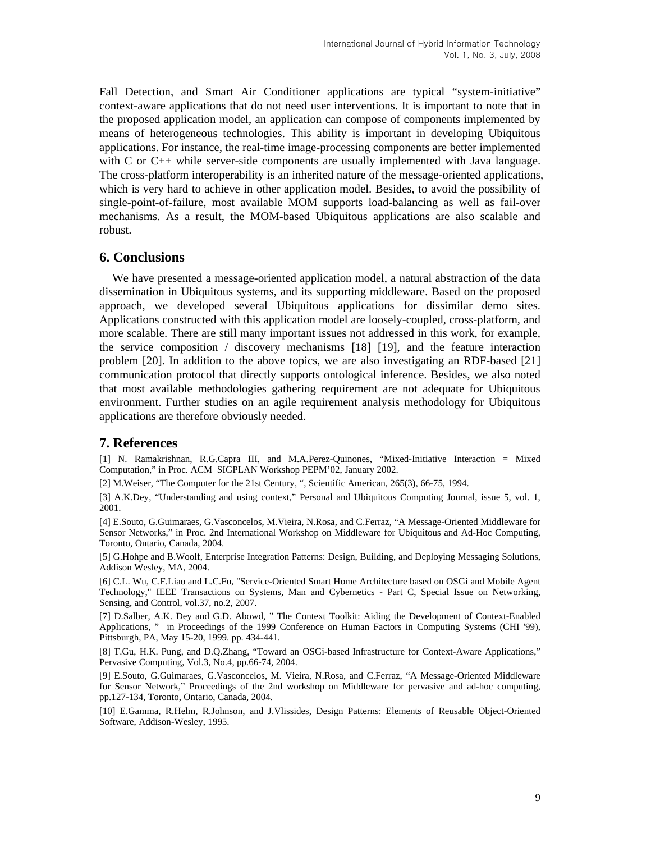Fall Detection, and Smart Air Conditioner applications are typical "system-initiative" context-aware applications that do not need user interventions. It is important to note that in the proposed application model, an application can compose of components implemented by means of heterogeneous technologies. This ability is important in developing Ubiquitous applications. For instance, the real-time image-processing components are better implemented with C or C++ while server-side components are usually implemented with Java language. The cross-platform interoperability is an inherited nature of the message-oriented applications, which is very hard to achieve in other application model. Besides, to avoid the possibility of single-point-of-failure, most available MOM supports load-balancing as well as fail-over mechanisms. As a result, the MOM-based Ubiquitous applications are also scalable and robust.

#### **6. Conclusions**

We have presented a message-oriented application model, a natural abstraction of the data dissemination in Ubiquitous systems, and its supporting middleware. Based on the proposed approach, we developed several Ubiquitous applications for dissimilar demo sites. Applications constructed with this application model are loosely-coupled, cross-platform, and more scalable. There are still many important issues not addressed in this work, for example, the service composition / discovery mechanisms [18] [19], and the feature interaction problem [20]. In addition to the above topics, we are also investigating an RDF-based [21] communication protocol that directly supports ontological inference. Besides, we also noted that most available methodologies gathering requirement are not adequate for Ubiquitous environment. Further studies on an agile requirement analysis methodology for Ubiquitous applications are therefore obviously needed.

#### **7. References**

[1] N. Ramakrishnan, R.G.Capra III, and M.A.Perez-Quinones, "Mixed-Initiative Interaction = Mixed Computation," in Proc. ACM SIGPLAN Workshop PEPM'02, January 2002.

[2] M.Weiser, "The Computer for the 21st Century, ", Scientific American, 265(3), 66-75, 1994.

[3] A.K.Dey, "Understanding and using context," Personal and Ubiquitous Computing Journal, issue 5, vol. 1, 2001.

[4] E.Souto, G.Guimaraes, G.Vasconcelos, M.Vieira, N.Rosa, and C.Ferraz, "A Message-Oriented Middleware for Sensor Networks," in Proc. 2nd International Workshop on Middleware for Ubiquitous and Ad-Hoc Computing, Toronto, Ontario, Canada, 2004.

[5] G.Hohpe and B.Woolf, Enterprise Integration Patterns: Design, Building, and Deploying Messaging Solutions, Addison Wesley, MA, 2004.

[6] C.L. Wu, C.F.Liao and L.C.Fu, "Service-Oriented Smart Home Architecture based on OSGi and Mobile Agent Technology," IEEE Transactions on Systems, Man and Cybernetics - Part C, Special Issue on Networking, Sensing, and Control, vol.37, no.2, 2007.

[7] D.Salber, A.K. Dey and G.D. Abowd, " The Context Toolkit: Aiding the Development of Context-Enabled Applications, " in Proceedings of the 1999 Conference on Human Factors in Computing Systems (CHI '99), Pittsburgh, PA, May 15-20, 1999. pp. 434-441.

[8] T.Gu, H.K. Pung, and D.Q.Zhang, "Toward an OSGi-based Infrastructure for Context-Aware Applications," Pervasive Computing, Vol.3, No.4, pp.66-74, 2004.

[9] E.Souto, G.Guimaraes, G.Vasconcelos, M. Vieira, N.Rosa, and C.Ferraz, "A Message-Oriented Middleware for Sensor Network," Proceedings of the 2nd workshop on Middleware for pervasive and ad-hoc computing, pp.127-134, Toronto, Ontario, Canada, 2004.

[10] E.Gamma, R.Helm, R.Johnson, and J.Vlissides, Design Patterns: Elements of Reusable Object-Oriented Software, Addison-Wesley, 1995.